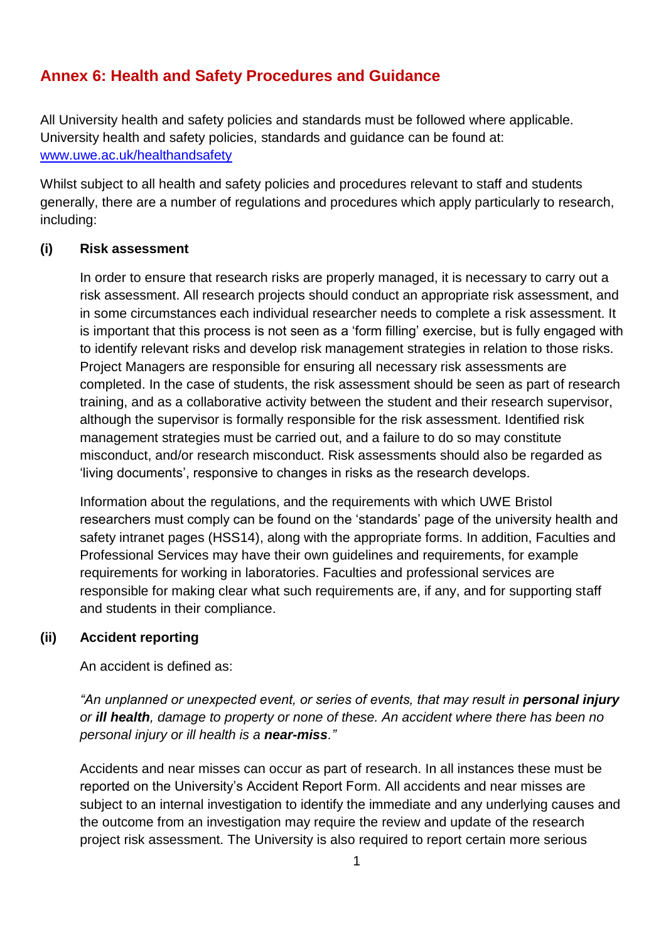# **Annex 6: Health and Safety Procedures and Guidance**

All University health and safety policies and standards must be followed where applicable. University health and safety policies, standards and guidance can be found at: [www.uwe.ac.uk/healthandsafety](http://www.uwe.ac.uk/healthandsafety)

Whilst subject to all health and safety policies and procedures relevant to staff and students generally, there are a number of regulations and procedures which apply particularly to research, including:

## **(i) Risk assessment**

In order to ensure that research risks are properly managed, it is necessary to carry out a risk assessment. All research projects should conduct an appropriate risk assessment, and in some circumstances each individual researcher needs to complete a risk assessment. It is important that this process is not seen as a 'form filling' exercise, but is fully engaged with to identify relevant risks and develop risk management strategies in relation to those risks. Project Managers are responsible for ensuring all necessary risk assessments are completed. In the case of students, the risk assessment should be seen as part of research training, and as a collaborative activity between the student and their research supervisor, although the supervisor is formally responsible for the risk assessment. Identified risk management strategies must be carried out, and a failure to do so may constitute misconduct, and/or research misconduct. Risk assessments should also be regarded as 'living documents', responsive to changes in risks as the research develops.

Information about the regulations, and the requirements with which UWE Bristol researchers must comply can be found on the 'standards' page of the university health and safety intranet pages (HSS14), along with the appropriate forms. In addition, Faculties and Professional Services may have their own guidelines and requirements, for example requirements for working in laboratories. Faculties and professional services are responsible for making clear what such requirements are, if any, and for supporting staff and students in their compliance.

## **(ii) Accident reporting**

An accident is defined as:

*An unplanned or unexpected event, or series of events, that may result in personal injury or ill health, damage to property or none of these. An accident where there has been no personal injury or ill health is a near-miss."*

Accidents and near misses can occur as part of research. In all instances these must be reported on the University's Accident Report Form. All accidents and near misses are subject to an internal investigation to identify the immediate and any underlying causes and the outcome from an investigation may require the review and update of the research project risk assessment. The University is also required to report certain more serious